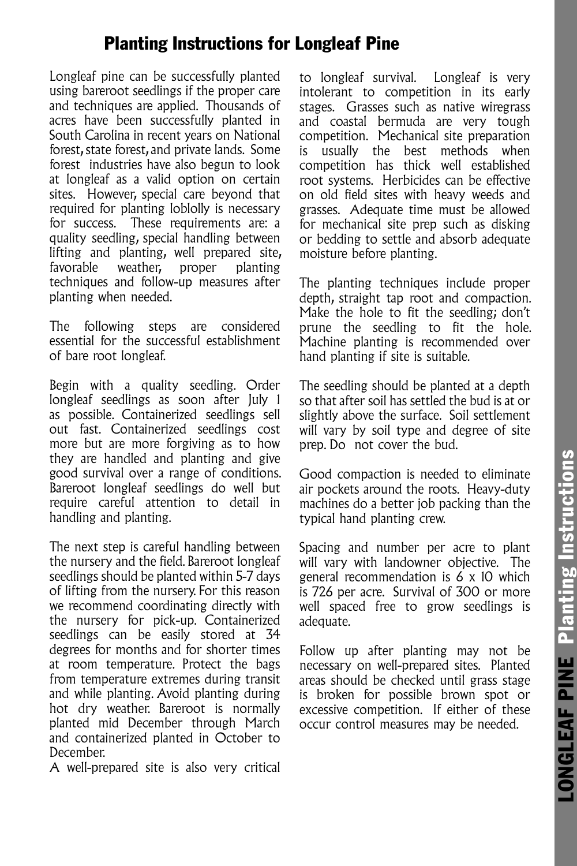## Planting Instructions for Longleaf Pine

Longleaf pine can be successfully planted using bareroot seedlings if the proper care and techniques are applied. Thousands of acres have been successfully planted in South Carolina in recent years on National forest, state forest, and private lands. Some forest industries have also begun to look at longleaf as a valid option on certain sites. However, special care beyond that required for planting loblolly is necessary for success. These requirements are: a quality seedling, special handling between lifting and planting, well prepared site, favorable weather, proper planting techniques and follow-up measures after planting when needed.

The following steps are considered essential for the successful establishment of bare root longleaf.

Begin with a quality seedling. Order longleaf seedlings as soon after July 1 as possible. Containerized seedlings sell out fast. Containerized seedlings cost more but are more forgiving as to how they are handled and planting and give good survival over a range of conditions. Bareroot longleaf seedlings do well but require careful attention to detail in handling and planting.

The next step is careful handling between the nursery and the field. Bareroot longleaf seedlings should be planted within 5-7 days of lifting from the nursery. For this reason we recommend coordinating directly with the nursery for pick-up. Containerized seedlings can be easily stored at 34 degrees for months and for shorter times at room temperature. Protect the bags from temperature extremes during transit and while planting. Avoid planting during hot dry weather. Bareroot is normally planted mid December through March and containerized planted in October to December.

A well-prepared site is also very critical

to longleaf survival. Longleaf is very intolerant to competition in its early stages. Grasses such as native wiregrass and coastal bermuda are very tough competition. Mechanical site preparation is usually the best methods when competition has thick well established root systems. Herbicides can be effective on old field sites with heavy weeds and grasses. Adequate time must be allowed for mechanical site prep such as disking or bedding to settle and absorb adequate moisture before planting.

The planting techniques include proper depth, straight tap root and compaction. Make the hole to fit the seedling; don't prune the seedling to fit the hole. Machine planting is recommended over hand planting if site is suitable.

The seedling should be planted at a depth so that after soil has settled the bud is at or slightly above the surface. Soil settlement will vary by soil type and degree of site prep. Do not cover the bud.

Good compaction is needed to eliminate air pockets around the roots. Heavy-duty machines do a better job packing than the typical hand planting crew.

Spacing and number per acre to plant will vary with landowner objective. The general recommendation is 6 x 10 which is 726 per acre. Survival of 300 or more well spaced free to grow seedlings is adequate.

Follow up after planting may not be necessary on well-prepared sites. Planted areas should be checked until grass stage is broken for possible brown spot or excessive competition. If either of these occur control measures may be needed.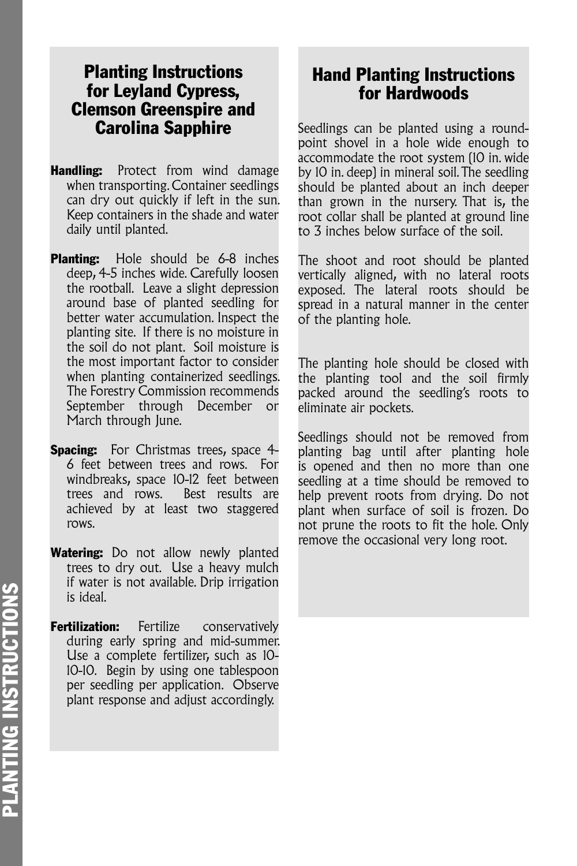### Planting Instructions for Leyland Cypress, Clemson Greenspire and Carolina Sapphire

- **Handling:** Protect from wind damage when transporting. Container seedlings can dry out quickly if left in the sun. Keep containers in the shade and water daily until planted.
- **Planting:** Hole should be 6-8 inches deep, 4-5 inches wide. Carefully loosen the rootball. Leave a slight depression around base of planted seedling for better water accumulation. Inspect the planting site. If there is no moisture in the soil do not plant. Soil moisture is the most important factor to consider when planting containerized seedlings. The Forestry Commission recommends September through December or March through June.
- **Spacing:** For Christmas trees, space 4-6 feet between trees and rows. For windbreaks, space 10-12 feet between trees and rows. Best results are achieved by at least two staggered rows.
- Watering: Do not allow newly planted trees to dry out. Use a heavy mulch if water is not available. Drip irrigation is ideal.
- **Fertilization:** Fertilize conservatively during early spring and mid-summer. Use a complete fertilizer, such as 10- 10-10. Begin by using one tablespoon per seedling per application. Observe plant response and adjust accordingly.

## Hand Planting Instructions for Hardwoods

Seedlings can be planted using a roundpoint shovel in a hole wide enough to accommodate the root system (10 in. wide by 10 in. deep) in mineral soil. The seedling should be planted about an inch deeper than grown in the nursery. That is, the root collar shall be planted at ground line to 3 inches below surface of the soil.

The shoot and root should be planted vertically aligned, with no lateral roots exposed. The lateral roots should be spread in a natural manner in the center of the planting hole.

The planting hole should be closed with the planting tool and the soil firmly packed around the seedling's roots to eliminate air pockets.

Seedlings should not be removed from planting bag until after planting hole is opened and then no more than one seedling at a time should be removed to help prevent roots from drying. Do not plant when surface of soil is frozen. Do not prune the roots to fit the hole. Only remove the occasional very long root.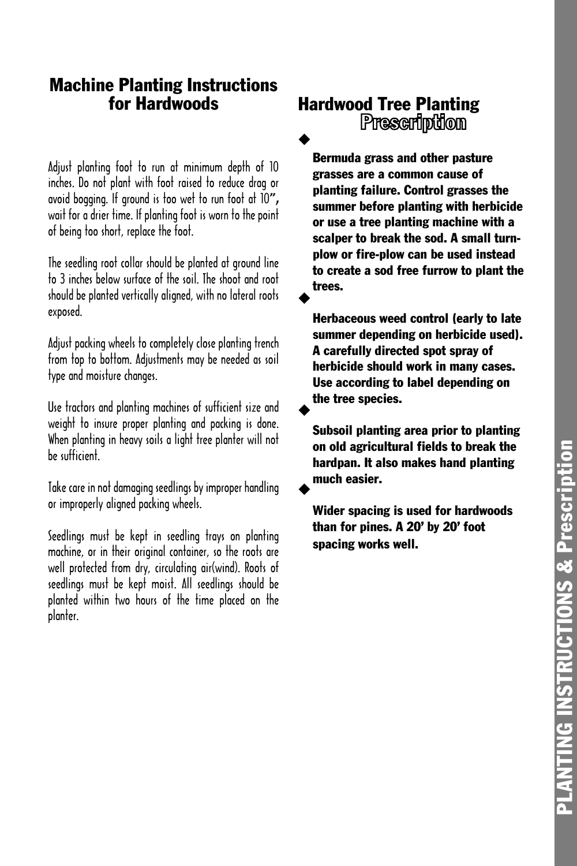# PLANTING INSTRUCTIONS & Prescription **PLANTING INSTRUCTIONS & Prescription**

## Machine Planting Instructions for Hardwoods

Adjust planting foot to run at minimum depth of 10 inches. Do not plant with foot raised to reduce drag or avoid bogging. If ground is too wet to run foot at 10", wait for a drier time. If planting foot is worn to the point of being too short, replace the foot.

The seedling root collar should be planted at ground line to 3 inches below surface of the soil. The shoot and root should be planted vertically aligned, with no lateral roots exposed.

Adjust packing wheels to completely close planting trench from top to bottom. Adjustments may be needed as soil type and moisture changes.

Use tractors and planting machines of sufficient size and weight to insure proper planting and packing is done. When planting in heavy soils a light tree planter will not be sufficient.

Take care in not damaging seedlings by improper handling or improperly aligned packing wheels.

Seedlings must be kept in seedling trays on planting machine, or in their original container, so the roots are well protected from dry, circulating air(wind). Roots of seedlings must be kept moist. All seedlings should be planted within two hours of the time placed on the planter.

# **Hardwood Tree Planting<br>Prescription** ◆

Bermuda grass and other pasture grasses are a common cause of planting failure. Control grasses the summer before planting with herbicide or use a tree planting machine with a scalper to break the sod. A small turnplow or fire-plow can be used instead to create a sod free furrow to plant the trees. ◆

Herbaceous weed control (early to late summer depending on herbicide used). A carefully directed spot spray of herbicide should work in many cases. Use according to label depending on the tree species.

Subsoil planting area prior to planting on old agricultural fields to break the hardpan. It also makes hand planting much easier.

◆

◆

Wider spacing is used for hardwoods than for pines. A 20' by 20' foot spacing works well.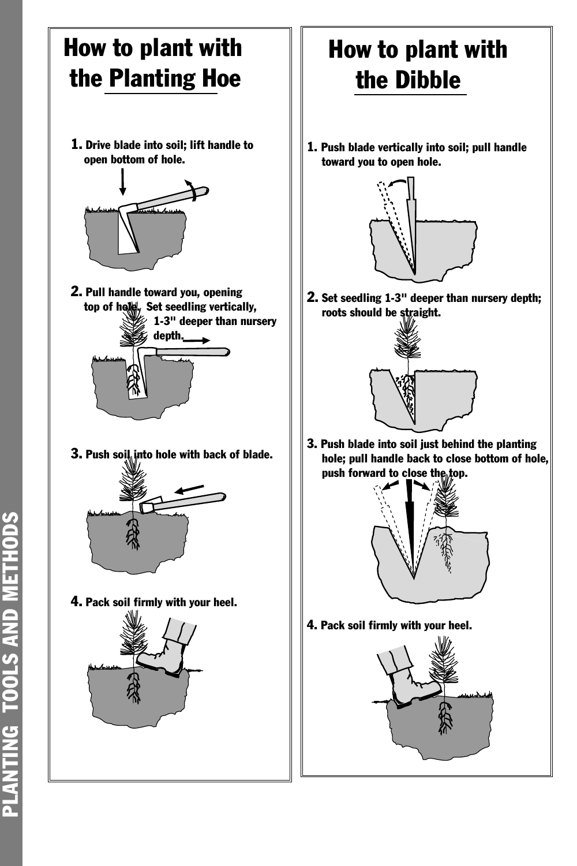